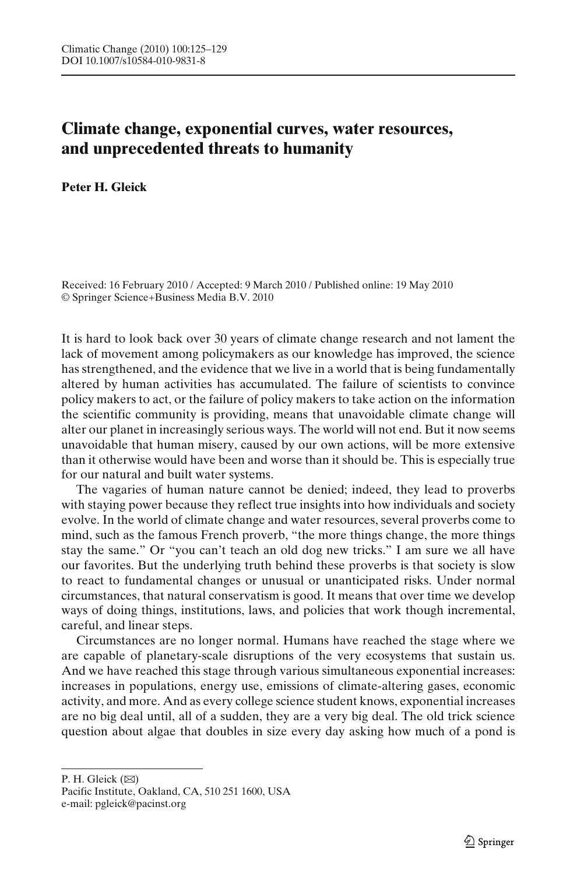## **Climate change, exponential curves, water resources, and unprecedented threats to humanity**

## **Peter H. Gleick**

Received: 16 February 2010 / Accepted: 9 March 2010 / Published online: 19 May 2010 © Springer Science+Business Media B.V. 2010

It is hard to look back over 30 years of climate change research and not lament the lack of movement among policymakers as our knowledge has improved, the science has strengthened, and the evidence that we live in a world that is being fundamentally altered by human activities has accumulated. The failure of scientists to convince policy makers to act, or the failure of policy makers to take action on the information the scientific community is providing, means that unavoidable climate change will alter our planet in increasingly serious ways. The world will not end. But it now seems unavoidable that human misery, caused by our own actions, will be more extensive than it otherwise would have been and worse than it should be. This is especially true for our natural and built water systems.

The vagaries of human nature cannot be denied; indeed, they lead to proverbs with staying power because they reflect true insights into how individuals and society evolve. In the world of climate change and water resources, several proverbs come to mind, such as the famous French proverb, "the more things change, the more things stay the same." Or "you can't teach an old dog new tricks." I am sure we all have our favorites. But the underlying truth behind these proverbs is that society is slow to react to fundamental changes or unusual or unanticipated risks. Under normal circumstances, that natural conservatism is good. It means that over time we develop ways of doing things, institutions, laws, and policies that work though incremental, careful, and linear steps.

Circumstances are no longer normal. Humans have reached the stage where we are capable of planetary-scale disruptions of the very ecosystems that sustain us. And we have reached this stage through various simultaneous exponential increases: increases in populations, energy use, emissions of climate-altering gases, economic activity, and more. And as every college science student knows, exponential increases are no big deal until, all of a sudden, they are a very big deal. The old trick science question about algae that doubles in size every day asking how much of a pond is

P. H. Gleick  $(\boxtimes)$ Pacific Institute, Oakland, CA, 510 251 1600, USA e-mail: pgleick@pacinst.org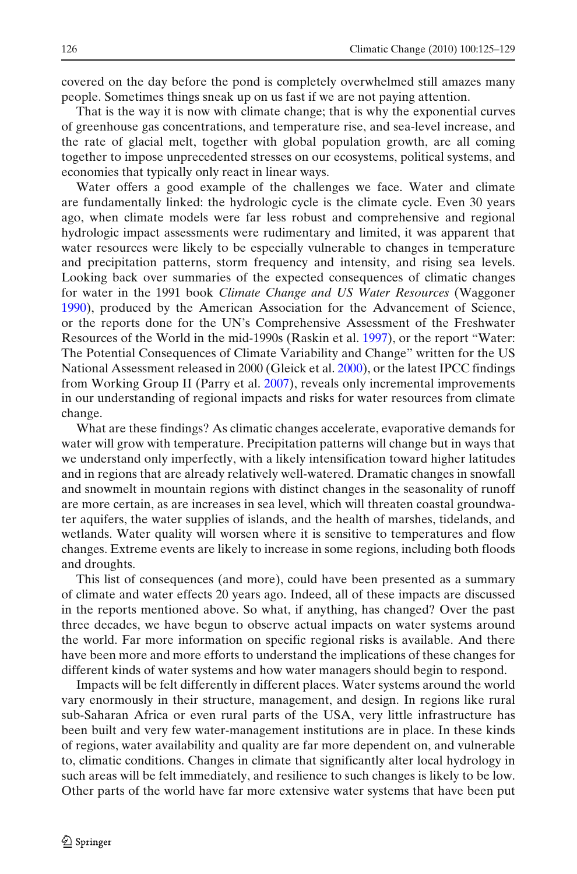covered on the day before the pond is completely overwhelmed still amazes many people. Sometimes things sneak up on us fast if we are not paying attention.

That is the way it is now with climate change; that is why the exponential curves of greenhouse gas concentrations, and temperature rise, and sea-level increase, and the rate of glacial melt, together with global population growth, are all coming together to impose unprecedented stresses on our ecosystems, political systems, and economies that typically only react in linear ways.

Water offers a good example of the challenges we face. Water and climate are fundamentally linked: the hydrologic cycle is the climate cycle. Even 30 years ago, when climate models were far less robust and comprehensive and regional hydrologic impact assessments were rudimentary and limited, it was apparent that water resources were likely to be especially vulnerable to changes in temperature and precipitation patterns, storm frequency and intensity, and rising sea levels. Looking back over summaries of the expected consequences of climatic changes for water in the 1991 book *Climate Change and US Water Resources* (Waggone[r](#page-4-0) [1990\)](#page-4-0), produced by the American Association for the Advancement of Science, or the reports done for the UN's Comprehensive Assessment of the Freshwater Resources of the World in the mid-1990s (Raskin et al[.](#page-4-0) [1997](#page-4-0)), or the report "Water: The Potential Consequences of Climate Variability and Change" written for the US National Assessment released in 2000 (Gleick et al[.](#page-3-0) [2000](#page-3-0)), or the latest IPCC findings from Working Group II (Parry et al[.](#page-4-0) [2007](#page-4-0)), reveals only incremental improvements in our understanding of regional impacts and risks for water resources from climate change.

What are these findings? As climatic changes accelerate, evaporative demands for water will grow with temperature. Precipitation patterns will change but in ways that we understand only imperfectly, with a likely intensification toward higher latitudes and in regions that are already relatively well-watered. Dramatic changes in snowfall and snowmelt in mountain regions with distinct changes in the seasonality of runoff are more certain, as are increases in sea level, which will threaten coastal groundwater aquifers, the water supplies of islands, and the health of marshes, tidelands, and wetlands. Water quality will worsen where it is sensitive to temperatures and flow changes. Extreme events are likely to increase in some regions, including both floods and droughts.

This list of consequences (and more), could have been presented as a summary of climate and water effects 20 years ago. Indeed, all of these impacts are discussed in the reports mentioned above. So what, if anything, has changed? Over the past three decades, we have begun to observe actual impacts on water systems around the world. Far more information on specific regional risks is available. And there have been more and more efforts to understand the implications of these changes for different kinds of water systems and how water managers should begin to respond.

Impacts will be felt differently in different places. Water systems around the world vary enormously in their structure, management, and design. In regions like rural sub-Saharan Africa or even rural parts of the USA, very little infrastructure has been built and very few water-management institutions are in place. In these kinds of regions, water availability and quality are far more dependent on, and vulnerable to, climatic conditions. Changes in climate that significantly alter local hydrology in such areas will be felt immediately, and resilience to such changes is likely to be low. Other parts of the world have far more extensive water systems that have been put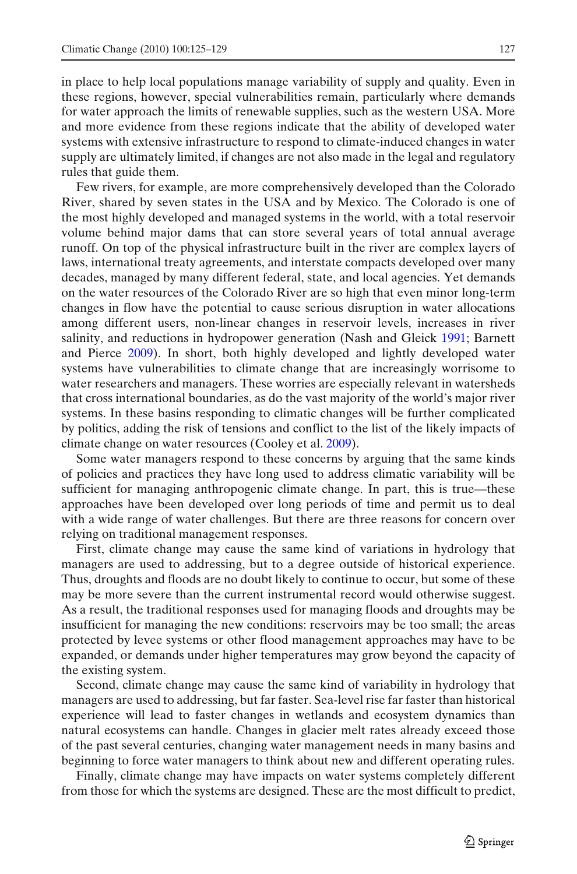in place to help local populations manage variability of supply and quality. Even in these regions, however, special vulnerabilities remain, particularly where demands for water approach the limits of renewable supplies, such as the western USA. More and more evidence from these regions indicate that the ability of developed water systems with extensive infrastructure to respond to climate-induced changes in water supply are ultimately limited, if changes are not also made in the legal and regulatory rules that guide them.

Few rivers, for example, are more comprehensively developed than the Colorado River, shared by seven states in the USA and by Mexico. The Colorado is one of the most highly developed and managed systems in the world, with a total reservoir volume behind major dams that can store several years of total annual average runoff. On top of the physical infrastructure built in the river are complex layers of laws, international treaty agreements, and interstate compacts developed over many decades, managed by many different federal, state, and local agencies. Yet demands on the water resources of the Colorado River are so high that even minor long-term changes in flow have the potential to cause serious disruption in water allocations among different users, non-linear changes in reservoir levels, increases in river salinity, and reductions in hydropower generation (Nash and Gleic[k](#page-3-0) [1991](#page-3-0); Barnett and Pierc[e](#page-3-0) [2009\)](#page-3-0). In short, both highly developed and lightly developed water systems have vulnerabilities to climate change that are increasingly worrisome to water researchers and managers. These worries are especially relevant in watersheds that cross international boundaries, as do the vast majority of the world's major river systems. In these basins responding to climatic changes will be further complicated by politics, adding the risk of tensions and conflict to the list of the likely impacts of climate change on water resources (Cooley et al[.](#page-3-0) [2009\)](#page-3-0).

Some water managers respond to these concerns by arguing that the same kinds of policies and practices they have long used to address climatic variability will be sufficient for managing anthropogenic climate change. In part, this is true—these approaches have been developed over long periods of time and permit us to deal with a wide range of water challenges. But there are three reasons for concern over relying on traditional management responses.

First, climate change may cause the same kind of variations in hydrology that managers are used to addressing, but to a degree outside of historical experience. Thus, droughts and floods are no doubt likely to continue to occur, but some of these may be more severe than the current instrumental record would otherwise suggest. As a result, the traditional responses used for managing floods and droughts may be insufficient for managing the new conditions: reservoirs may be too small; the areas protected by levee systems or other flood management approaches may have to be expanded, or demands under higher temperatures may grow beyond the capacity of the existing system.

Second, climate change may cause the same kind of variability in hydrology that managers are used to addressing, but far faster. Sea-level rise far faster than historical experience will lead to faster changes in wetlands and ecosystem dynamics than natural ecosystems can handle. Changes in glacier melt rates already exceed those of the past several centuries, changing water management needs in many basins and beginning to force water managers to think about new and different operating rules.

Finally, climate change may have impacts on water systems completely different from those for which the systems are designed. These are the most difficult to predict,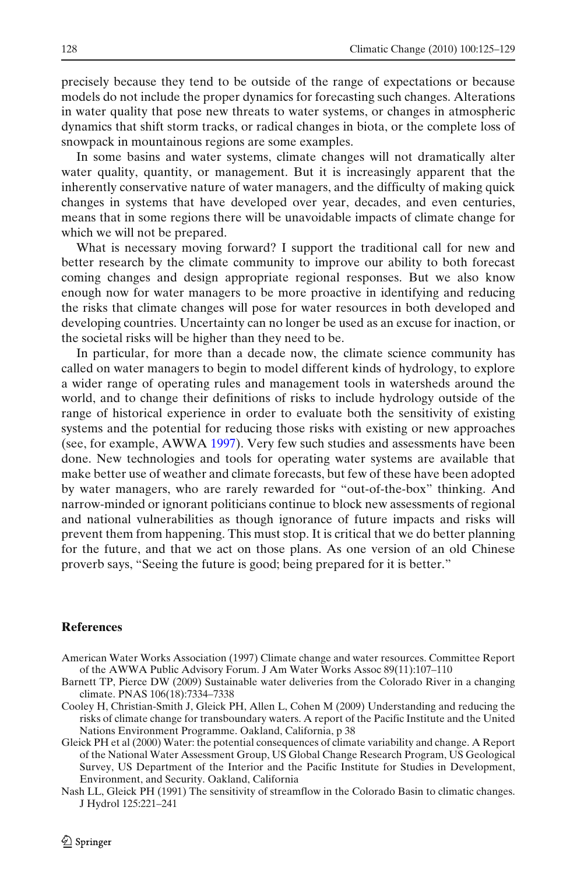<span id="page-3-0"></span>precisely because they tend to be outside of the range of expectations or because models do not include the proper dynamics for forecasting such changes. Alterations in water quality that pose new threats to water systems, or changes in atmospheric dynamics that shift storm tracks, or radical changes in biota, or the complete loss of snowpack in mountainous regions are some examples.

In some basins and water systems, climate changes will not dramatically alter water quality, quantity, or management. But it is increasingly apparent that the inherently conservative nature of water managers, and the difficulty of making quick changes in systems that have developed over year, decades, and even centuries, means that in some regions there will be unavoidable impacts of climate change for which we will not be prepared.

What is necessary moving forward? I support the traditional call for new and better research by the climate community to improve our ability to both forecast coming changes and design appropriate regional responses. But we also know enough now for water managers to be more proactive in identifying and reducing the risks that climate changes will pose for water resources in both developed and developing countries. Uncertainty can no longer be used as an excuse for inaction, or the societal risks will be higher than they need to be.

In particular, for more than a decade now, the climate science community has called on water managers to begin to model different kinds of hydrology, to explore a wider range of operating rules and management tools in watersheds around the world, and to change their definitions of risks to include hydrology outside of the range of historical experience in order to evaluate both the sensitivity of existing systems and the potential for reducing those risks with existing or new approaches (see, for example, AWWA 1997). Very few such studies and assessments have been done. New technologies and tools for operating water systems are available that make better use of weather and climate forecasts, but few of these have been adopted by water managers, who are rarely rewarded for "out-of-the-box" thinking. And narrow-minded or ignorant politicians continue to block new assessments of regional and national vulnerabilities as though ignorance of future impacts and risks will prevent them from happening. This must stop. It is critical that we do better planning for the future, and that we act on those plans. As one version of an old Chinese proverb says, "Seeing the future is good; being prepared for it is better."

## **References**

- American Water Works Association (1997) Climate change and water resources. Committee Report of the AWWA Public Advisory Forum. J Am Water Works Assoc 89(11):107–110
- Barnett TP, Pierce DW (2009) Sustainable water deliveries from the Colorado River in a changing climate. PNAS 106(18):7334–7338
- Cooley H, Christian-Smith J, Gleick PH, Allen L, Cohen M (2009) Understanding and reducing the risks of climate change for transboundary waters. A report of the Pacific Institute and the United Nations Environment Programme. Oakland, California, p 38
- Gleick PH et al (2000) Water: the potential consequences of climate variability and change. A Report of the National Water Assessment Group, US Global Change Research Program, US Geological Survey, US Department of the Interior and the Pacific Institute for Studies in Development, Environment, and Security. Oakland, California

Nash LL, Gleick PH (1991) The sensitivity of streamflow in the Colorado Basin to climatic changes. J Hydrol 125:221–241